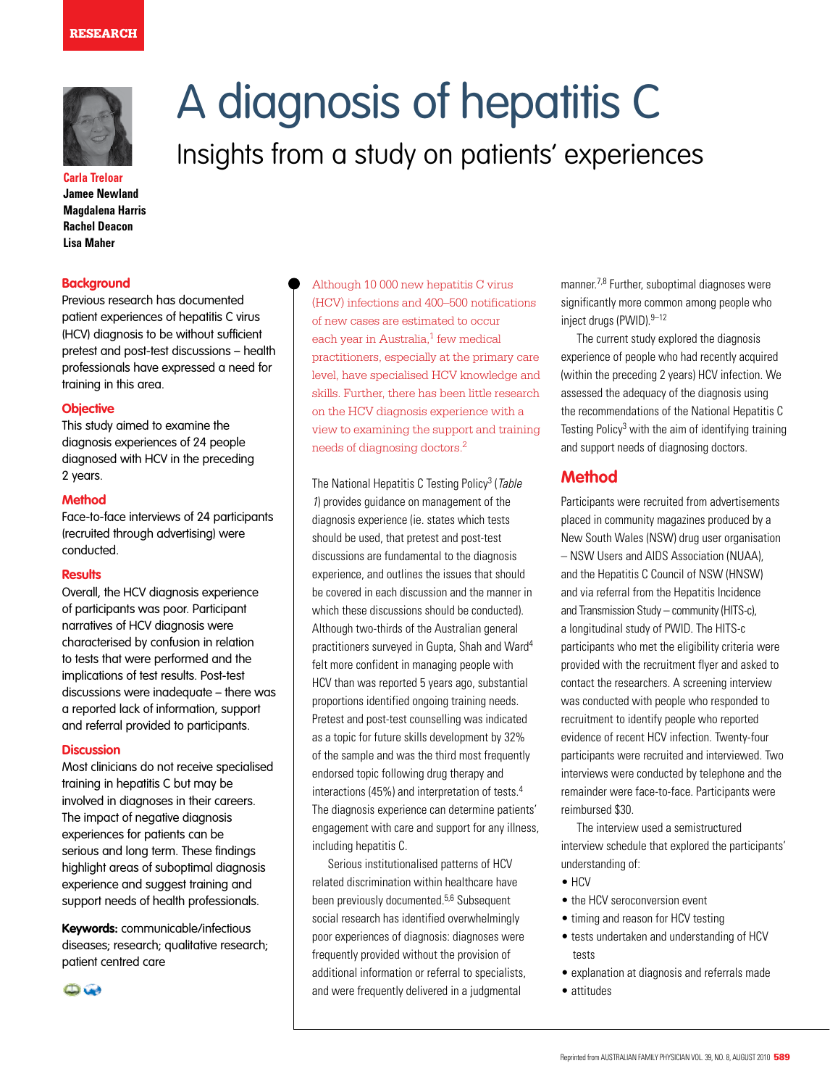#### **RESEARCH**



**Carla Treloar Jamee Newland Magdalena Harris Rachel Deacon Lisa Maher**

#### **Background**

Previous research has documented patient experiences of hepatitis C virus (HCV) diagnosis to be without sufficient pretest and post-test discussions – health professionals have expressed a need for training in this area.

#### **Objective**

This study aimed to examine the diagnosis experiences of 24 people diagnosed with HCV in the preceding 2 years.

#### **Method**

Face-to-face interviews of 24 participants (recruited through advertising) were conducted.

#### **Results**

Overall, the HCV diagnosis experience of participants was poor. Participant narratives of HCV diagnosis were characterised by confusion in relation to tests that were performed and the implications of test results. Post-test discussions were inadequate – there was a reported lack of information, support and referral provided to participants.

#### **Discussion**

Most clinicians do not receive specialised training in hepatitis C but may be involved in diagnoses in their careers. The impact of negative diagnosis experiences for patients can be serious and long term. These findings highlight areas of suboptimal diagnosis experience and suggest training and support needs of health professionals.

**Keywords:** communicable/infectious diseases; research; qualitative research; patient centred care

 $\bigoplus$ 

# A diagnosis of hepatitis C Insights from a study on patients' experiences

Although 10 000 new hepatitis C virus (HCV) infections and 400–500 notifications of new cases are estimated to occur each year in Australia, $1$  few medical practitioners, especially at the primary care level, have specialised HCV knowledge and skills. Further, there has been little research on the HCV diagnosis experience with a view to examining the support and training needs of diagnosing doctors.2

The National Hepatitis C Testing Policy<sup>3</sup> (Table 1) provides guidance on management of the diagnosis experience (ie. states which tests should be used, that pretest and post-test discussions are fundamental to the diagnosis experience, and outlines the issues that should be covered in each discussion and the manner in which these discussions should be conducted). Although two-thirds of the Australian general practitioners surveyed in Gupta, Shah and Ward4 felt more confident in managing people with HCV than was reported 5 years ago, substantial proportions identified ongoing training needs. Pretest and post-test counselling was indicated as a topic for future skills development by 32% of the sample and was the third most frequently endorsed topic following drug therapy and interactions (45%) and interpretation of tests.4 The diagnosis experience can determine patients' engagement with care and support for any illness, including hepatitis C.

Serious institutionalised patterns of HCV related discrimination within healthcare have been previously documented.5,6 Subsequent social research has identified overwhelmingly poor experiences of diagnosis: diagnoses were frequently provided without the provision of additional information or referral to specialists, and were frequently delivered in a judgmental

manner.7,8 Further, suboptimal diagnoses were significantly more common among people who inject drugs (PWID). 9-12

The current study explored the diagnosis experience of people who had recently acquired (within the preceding 2 years) HCV infection. We assessed the adequacy of the diagnosis using the recommendations of the National Hepatitis C Testing Policy<sup>3</sup> with the aim of identifying training and support needs of diagnosing doctors.

# **Method**

Participants were recruited from advertisements placed in community magazines produced by a New South Wales (NSW) drug user organisation – NSW Users and AIDS Association (NUAA), and the Hepatitis C Council of NSW (HNSW) and via referral from the Hepatitis Incidence and Transmission Study – community (HITS-c), a longitudinal study of PWID. The HITS-c participants who met the eligibility criteria were provided with the recruitment flyer and asked to contact the researchers. A screening interview was conducted with people who responded to recruitment to identify people who reported evidence of recent HCV infection. Twenty-four participants were recruited and interviewed. Two interviews were conducted by telephone and the remainder were face-to-face. Participants were reimbursed \$30.

The interview used a semistructured interview schedule that explored the participants' understanding of:

- HCV
- the HCV seroconversion event
- timing and reason for HCV testing
- tests undertaken and understanding of HCV tests
- explanation at diagnosis and referrals made
- attitudes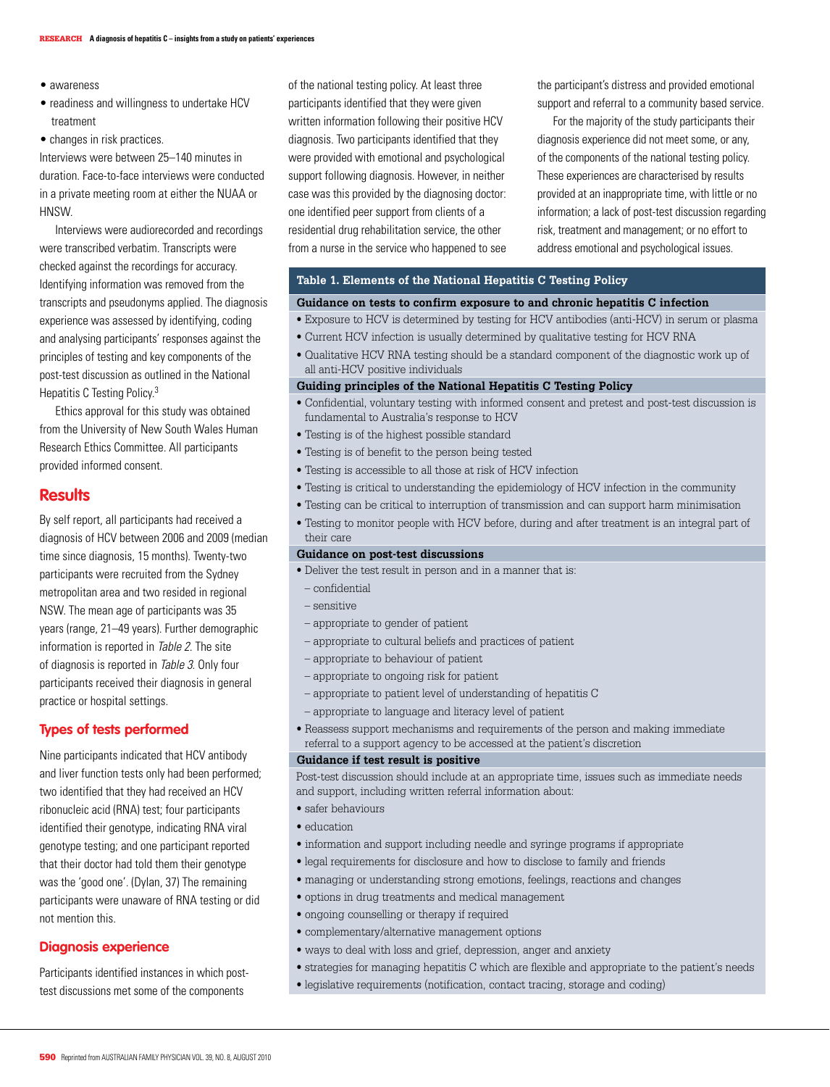- awareness
- readiness and willingness to undertake HCV treatment
- changes in risk practices.

Interviews were between 25–140 minutes in duration. Face-to-face interviews were conducted in a private meeting room at either the NUAA or HNSW.

Interviews were audiorecorded and recordings were transcribed verbatim. Transcripts were checked against the recordings for accuracy. Identifying information was removed from the transcripts and pseudonyms applied. The diagnosis experience was assessed by identifying, coding and analysing participants' responses against the principles of testing and key components of the post-test discussion as outlined in the National Hepatitis C Testing Policy.3

Ethics approval for this study was obtained from the University of New South Wales Human Research Ethics Committee. All participants provided informed consent.

# **Results**

By self report, all participants had received a diagnosis of HCV between 2006 and 2009 (median time since diagnosis, 15 months). Twenty-two participants were recruited from the Sydney metropolitan area and two resided in regional NSW. The mean age of participants was 35 years (range, 21–49 years). Further demographic information is reported in Table 2. The site of diagnosis is reported in Table 3. Only four participants received their diagnosis in general practice or hospital settings.

# **Types of tests performed**

Nine participants indicated that HCV antibody and liver function tests only had been performed; two identified that they had received an HCV ribonucleic acid (RNA) test; four participants identified their genotype, indicating RNA viral genotype testing; and one participant reported that their doctor had told them their genotype was the 'good one'. (Dylan, 37) The remaining participants were unaware of RNA testing or did not mention this.

## **Diagnosis experience**

Participants identified instances in which posttest discussions met some of the components

of the national testing policy. At least three participants identified that they were given written information following their positive HCV diagnosis. Two participants identified that they were provided with emotional and psychological support following diagnosis. However, in neither case was this provided by the diagnosing doctor: one identified peer support from clients of a residential drug rehabilitation service, the other from a nurse in the service who happened to see the participant's distress and provided emotional support and referral to a community based service.

For the majority of the study participants their diagnosis experience did not meet some, or any, of the components of the national testing policy. These experiences are characterised by results provided at an inappropriate time, with little or no information; a lack of post-test discussion regarding risk, treatment and management; or no effort to address emotional and psychological issues.

#### **Table 1. Elements of the National Hepatitis C Testing Policy**

#### **Guidance on tests to confirm exposure to and chronic hepatitis C infection**

- Exposure to HCV is determined by testing for HCV antibodies (anti-HCV) in serum or plasma
- Current HCV infection is usually determined by qualitative testing for HCV RNA
- Qualitative HCV RNA testing should be a standard component of the diagnostic work up of all anti-HCV positive individuals

#### **Guiding principles of the National Hepatitis C Testing Policy**

- Confidential, voluntary testing with informed consent and pretest and post-test discussion is fundamental to Australia's response to HCV
- Testing is of the highest possible standard
- Testing is of benefit to the person being tested
- Testing is accessible to all those at risk of HCV infection
- Testing is critical to understanding the epidemiology of HCV infection in the community
- Testing can be critical to interruption of transmission and can support harm minimisation
- Testing to monitor people with HCV before, during and after treatment is an integral part of their care

#### **Guidance on post-test discussions**

- Deliver the test result in person and in a manner that is:
- confidential
- sensitive
- appropriate to gender of patient
- appropriate to cultural beliefs and practices of patient
- appropriate to behaviour of patient
- appropriate to ongoing risk for patient
- appropriate to patient level of understanding of hepatitis C
- appropriate to language and literacy level of patient
- Reassess support mechanisms and requirements of the person and making immediate referral to a support agency to be accessed at the patient's discretion

#### **Guidance if test result is positive**

Post-test discussion should include at an appropriate time, issues such as immediate needs and support, including written referral information about:

- safer behaviours
- education
- information and support including needle and syringe programs if appropriate
- legal requirements for disclosure and how to disclose to family and friends
- managing or understanding strong emotions, feelings, reactions and changes
- options in drug treatments and medical management
- ongoing counselling or therapy if required
- complementary/alternative management options
- ways to deal with loss and grief, depression, anger and anxiety
- strategies for managing hepatitis C which are flexible and appropriate to the patient's needs
- legislative requirements (notification, contact tracing, storage and coding)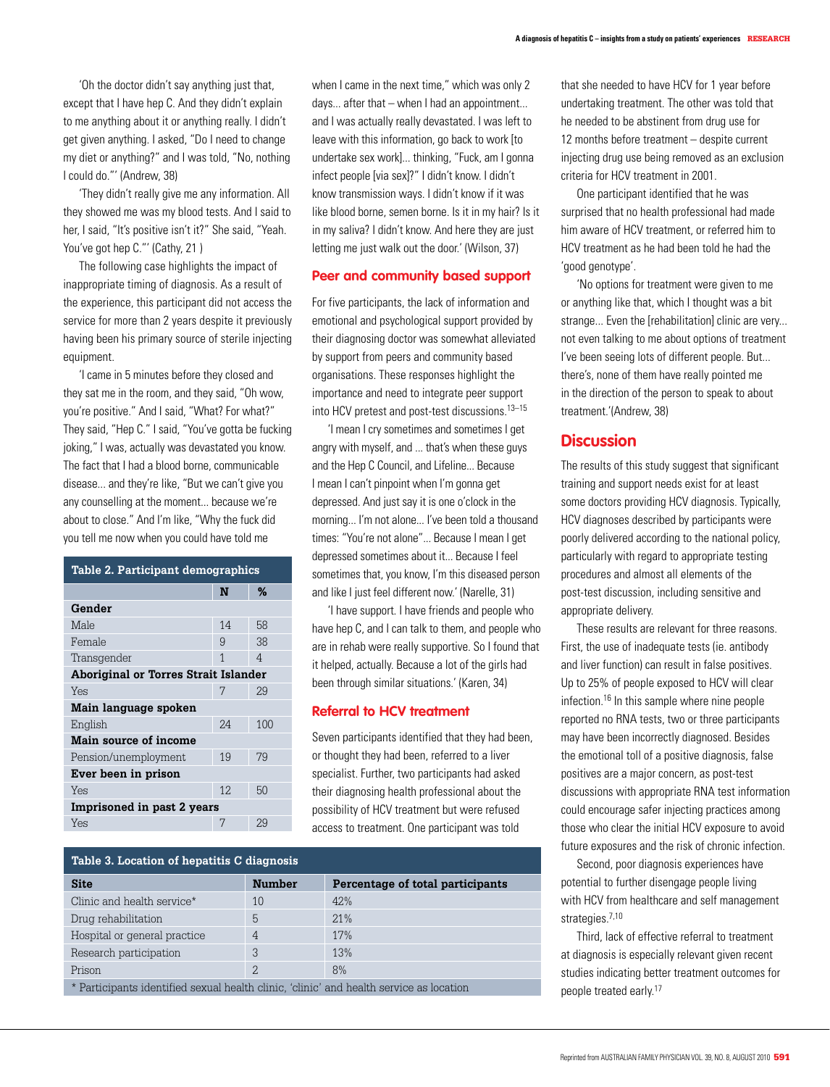'They didn't really give me any information. All they showed me was my blood tests. And I said to her, I said, "It's positive isn't it?" She said, "Yeah. You've got hep C."' (Cathy, 21)

The following case highlights the impact of inappropriate timing of diagnosis. As a result of the experience, this participant did not access the service for more than 2 years despite it previously having been his primary source of sterile injecting equipment.

'I came in 5 minutes before they closed and they sat me in the room, and they said, "Oh wow, you're positive." And I said, "What? For what?" They said, "Hep C." I said, "You've gotta be fucking joking," I was, actually was devastated you know. The fact that I had a blood borne, communicable disease... and they're like, "But we can't give you any counselling at the moment... because we're about to close." And I'm like, "Why the fuck did you tell me now when you could have told me

| Table 2. Participant demographics    |     |     |  |
|--------------------------------------|-----|-----|--|
|                                      | N   | %   |  |
| Gender                               |     |     |  |
| Male                                 | 14  | 58  |  |
| Female                               | 9   | 38  |  |
| Transgender                          | 1   | 4   |  |
| Aboriginal or Torres Strait Islander |     |     |  |
| Yes                                  | 7   | 29  |  |
| Main language spoken                 |     |     |  |
| English                              | 2.4 | 100 |  |
| Main source of income                |     |     |  |
| Pension/unemployment                 | 19  | 79  |  |
| Ever been in prison                  |     |     |  |
| Yes                                  | 12. | 50  |  |
| Imprisoned in past 2 years           |     |     |  |
| Yes                                  | 7   | 2.9 |  |

when I came in the next time," which was only 2 days... after that – when I had an appointment... and I was actually really devastated. I was left to leave with this information, go back to work [to undertake sex work]... thinking, "Fuck, am I gonna infect people [via sex]?" I didn't know. I didn't know transmission ways. I didn't know if it was like blood borne, semen borne. Is it in my hair? Is it in my saliva? I didn't know. And here they are just letting me just walk out the door.' (Wilson, 37)

### **Peer and community based support**

For five participants, the lack of information and emotional and psychological support provided by their diagnosing doctor was somewhat alleviated by support from peers and community based organisations. These responses highlight the importance and need to integrate peer support into HCV pretest and post-test discussions.13–15

'I mean I cry sometimes and sometimes I get angry with myself, and ... that's when these guys and the Hep C Council, and Lifeline... Because I mean I can't pinpoint when I'm gonna get depressed. And just say it is one o'clock in the morning... I'm not alone... I've been told a thousand times: "You're not alone"... Because I mean I get depressed sometimes about it... Because I feel sometimes that, you know, I'm this diseased person and like I just feel different now.' (Narelle, 31)

'I have support. I have friends and people who have hep C, and I can talk to them, and people who are in rehab were really supportive. So I found that it helped, actually. Because a lot of the girls had been through similar situations.' (Karen, 34)

## **Referral to HCV treatment**

Seven participants identified that they had been, or thought they had been, referred to a liver specialist. Further, two participants had asked their diagnosing health professional about the possibility of HCV treatment but were refused access to treatment. One participant was told

| Table 3. Location of hepatitis C diagnosis |               |                                  |  |  |
|--------------------------------------------|---------------|----------------------------------|--|--|
| <b>Site</b>                                | <b>Number</b> | Percentage of total participants |  |  |
| Clinic and health service*                 | 10            | 42%                              |  |  |
| Drug rehabilitation                        | 5             | 21%                              |  |  |
| Hospital or general practice               | 4             | 17%                              |  |  |
| Research participation                     | 3             | 13%                              |  |  |
| Prison                                     | 2.            | 8%                               |  |  |
|                                            |               |                                  |  |  |

\* Participants identified sexual health clinic, 'clinic' and health service as location

that she needed to have HCV for 1 year before undertaking treatment. The other was told that he needed to be abstinent from drug use for 12 months before treatment – despite current injecting drug use being removed as an exclusion criteria for HCV treatment in 2001.

 One participant identified that he was surprised that no health professional had made him aware of HCV treatment, or referred him to HCV treatment as he had been told he had the 'good genotype'.

'No options for treatment were given to me or anything like that, which I thought was a bit strange... Even the [rehabilitation] clinic are very... not even talking to me about options of treatment I've been seeing lots of different people. But... there's, none of them have really pointed me in the direction of the person to speak to about treatment.'(Andrew, 38)

# **Discussion**

The results of this study suggest that significant training and support needs exist for at least some doctors providing HCV diagnosis. Typically, HCV diagnoses described by participants were poorly delivered according to the national policy, particularly with regard to appropriate testing procedures and almost all elements of the post-test discussion, including sensitive and appropriate delivery.

These results are relevant for three reasons. First, the use of inadequate tests (ie. antibody and liver function) can result in false positives. Up to 25% of people exposed to HCV will clear infection.16 In this sample where nine people reported no RNA tests, two or three participants may have been incorrectly diagnosed. Besides the emotional toll of a positive diagnosis, false positives are a major concern, as post-test discussions with appropriate RNA test information could encourage safer injecting practices among those who clear the initial HCV exposure to avoid future exposures and the risk of chronic infection.

Second, poor diagnosis experiences have potential to further disengage people living with HCV from healthcare and self management strategies.<sup>7,10</sup>

Third, lack of effective referral to treatment at diagnosis is especially relevant given recent studies indicating better treatment outcomes for people treated early.<sup>17</sup>